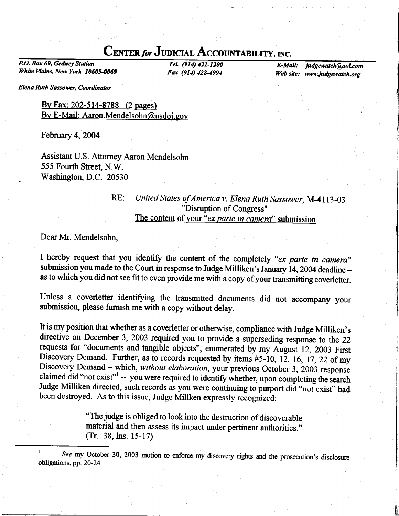## CENTER for JUDICIAL ACCOUNTABILITY, INC.

P.O. Box 69, Gedney Station White Plains, New York 10605-0069

TeL (914) 421-1200 Fax (914) 42&4994

E-Mail: judgewatch@aol.com Web site: www.judgewatch.org

Elena Ruth Sassower, Coordinator

By Fax:  $202 - 514 - 8788$  (2 pages) By E-Mail: Aaron.Mendelsohn@usdoj. gov

February 4,2004

Assistant U.S. Attorney Aaron Mendelsohn 555 Fourth Street, N.W. Washington, D.C. 20530

## RE: United States of America v. Elena Ruth Sassower, M-4113-03<br>"Disruption of Congress" The content of your "ex parte in camera" submission

Dear Mr. Mendelsohn,

I hereby request that you identify the content of the completely "ex parte in camera" submission you made to the Court in response to Judge Milliken's January  $14$ , 2004 deadline as to which you did not see fit to even provide me with a copy of your transmitting coverletter.

Unless a coverletter identifying the transmitted documents did not accompany your submission, please furnish me with a copy without delay.

It is my position that whether as a coverletter or otherwise, compliance with Judge Milliken's directive on December 3,2003 required you to provide a superseding response to the 22 requests for "documents and tangible objects", enumerated by my August 12. 2003 First Discovery Demand. Further, as to records requested by items #5-10, 12, 16, 17, 22 of my Discovery Demand - which, without elaboration, your previous October 3, 2003 response claimed did "not exist"<sup>1</sup> -- you were required to identify whether, upon completing the search Judge Milliken directed, such records as you were continuing to purport did "not exist" had been destroyed. As to this issue, Judge Millken expressly recognized:

> "The judge is obliged to look into the destruction of discoverable material and then assess its impact under pertinent authorities." (Tr. 38, lns. 15-17)

 $\mathbf{1}$ See my October 30, 2003 motion to enforce my discovery rights and the prosecution's disclosure obligations, pp. 20-24.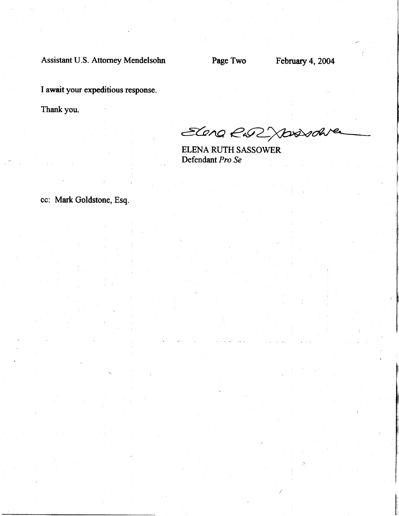Assistant U.S. Attorney Mendelsohn Page Two February 4, 2004

I await your expeditious response.

Thank you.

Elena RWZ Xbxxdwe

ELENA RUTH SASSOWER Defendant Pro Se

cc: Mark Goldstone, Esq.